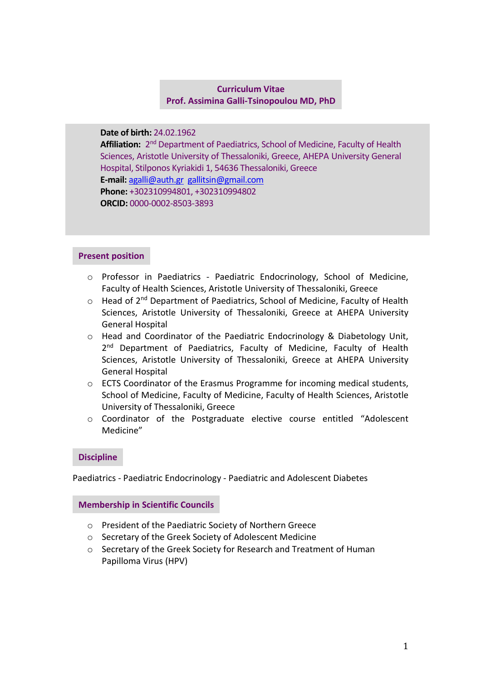# **Curriculum Vitae Prof. Assimina Galli-Tsinopoulou MD, PhD**

**Date of birth:** 24.02.1962

**Affiliation:** 2<sup>nd</sup> Department of Paediatrics, School of Medicine, Faculty of Health Sciences, Aristotle University of Thessaloniki, Greece, AHEPA University General Hospital, Stilponos Kyriakidi 1, 54636 Thessaloniki, Greece **E-mail:** [agalli@auth.gr](mailto:agalli@auth.gr) [gallitsin@gmail.com](mailto:gallitsin@gmail.com) **Phone:** +302310994801, +302310994802 **ORCID:** 0000-0002-8503-3893

### **Present position**

- o Professor in Paediatrics Paediatric Endocrinology, School of Medicine, Faculty of Health Sciences, Aristotle University of Thessaloniki, Greece
- o Head of 2<sup>nd</sup> Department of Paediatrics, School of Medicine, Faculty of Health Sciences, Aristotle University of Thessaloniki, Greece at AHEPA University General Hospital
- o Head and Coordinator of the Paediatric Endocrinology & Diabetology Unit, 2<sup>nd</sup> Department of Paediatrics, Faculty of Medicine, Faculty of Health Sciences, Aristotle University of Thessaloniki, Greece at AHEPA University General Hospital
- $\circ$  ECTS Coordinator of the Erasmus Programme for incoming medical students, School of Medicine, Faculty of Medicine, Faculty of Health Sciences, Aristotle University of Thessaloniki, Greece
- o Coordinator of the Postgraduate elective course entitled "Adolescent Medicine"

### **Discipline**

Paediatrics - Paediatric Endocrinology - Paediatric and Adolescent Diabetes

### **Membership in Scientific Councils**

- o President of the Paediatric Society of Northern Greece
- o Secretary of the Greek Society of Adolescent Medicine
- o Secretary of the Greek Society for Research and Treatment of Human Papilloma Virus (HPV)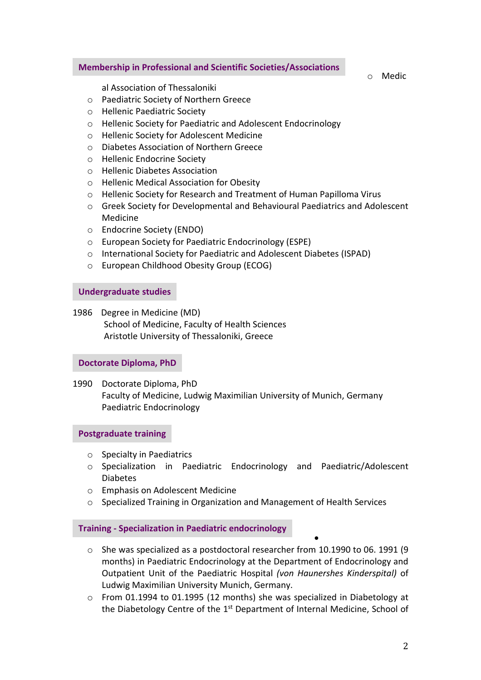#### **Membership in Professional and Scientific Societies/Associations**

o Medic

al Association of Thessaloniki

- o Paediatric Society of Northern Greece
- o Hellenic Paediatric Society
- o Hellenic Society for Paediatric and Adolescent Endocrinology
- o Hellenic Society for Adolescent Medicine
- o Diabetes Association of Northern Greece
- o Hellenic Endocrine Society
- o Hellenic Diabetes Association
- o Hellenic Medical Association for Obesity
- o Hellenic Society for Research and Treatment of Human Papilloma Virus
- o Greek Society for Developmental and Behavioural Paediatrics and Adolescent Medicine
- o Endocrine Society (ENDO)
- o European Society for Paediatric Endocrinology (ESPE)
- o International Society for Paediatric and Adolescent Diabetes (ISPAD)
- o European Childhood Obesity Group (ECOG)

#### **Undergraduate studies**

1986 Degree in Medicine (MD) School of Medicine, Faculty of Health Sciences Aristotle University of Thessaloniki, Greece

### **Doctorate Diploma, PhD**

1990 Doctorate Diploma, PhD Faculty of Medicine, Ludwig Maximilian University of Munich, Germany Paediatric Endocrinology

### **Postgraduate training**

- o Specialty in Paediatrics
- o Specialization in Paediatric Endocrinology and Paediatric/Adolescent Diabetes
- o Emphasis on Adolescent Medicine
- o Specialized Training in Organization and Management of Health Services

### **Training - Specialization in Paediatric endocrinology**

o She was specialized as a postdoctoral researcher from 10.1990 to 06. 1991 (9 months) in Paediatric Endocrinology at the Department of Endocrinology and Outpatient Unit of the Paediatric Hospital *(von Haunershes Kinderspital)* of Ludwig Maximilian University Munich, Germany.

•

 $\circ$  From 01.1994 to 01.1995 (12 months) she was specialized in Diabetology at the Diabetology Centre of the 1<sup>st</sup> Department of Internal Medicine, School of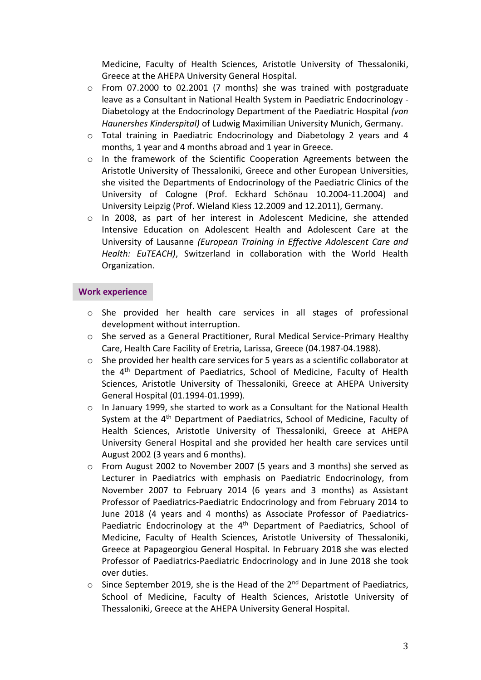Medicine, Faculty of Health Sciences, Aristotle University of Thessaloniki, Greece at the AHEPA University General Hospital.

- $\circ$  From 07.2000 to 02.2001 (7 months) she was trained with postgraduate leave as a Consultant in National Health System in Paediatric Endocrinology - Diabetology at the Endocrinology Department of the Paediatric Hospital *(von Haunershes Kinderspital)* of Ludwig Maximilian University Munich, Germany.
- o Total training in Paediatric Endocrinology and Diabetology 2 years and 4 months, 1 year and 4 months abroad and 1 year in Greece.
- o In the framework of the Scientific Cooperation Agreements between the Aristotle University of Thessaloniki, Greece and other European Universities, she visited the Departments of Endocrinology of the Paediatric Clinics of the University of Cologne (Prof. Eckhard Schönau 10.2004-11.2004) and University Leipzig (Prof. Wieland Kiess 12.2009 and 12.2011), Germany.
- o In 2008, as part of her interest in Adolescent Medicine, she attended Intensive Education on Adolescent Health and Adolescent Care at the University of Lausanne *(European Training in Effective Adolescent Care and Health: EuTEACH)*, Switzerland in collaboration with the World Health Organization.

### **Work experience**

- o She provided her health care services in all stages of professional development without interruption.
- o She served as a General Practitioner, Rural Medical Service-Primary Healthy Care, Health Care Facility of Eretria, Larissa, Greece (04.1987-04.1988).
- $\circ$  She provided her health care services for 5 years as a scientific collaborator at the 4th Department of Paediatrics, School of Medicine, Faculty of Health Sciences, Aristotle University of Thessaloniki, Greece at AHEPA University General Hospital (01.1994-01.1999).
- o In January 1999, she started to work as a Consultant for the National Health System at the 4<sup>th</sup> Department of Paediatrics, School of Medicine, Faculty of Health Sciences, Aristotle University of Thessaloniki, Greece at AHEPA University General Hospital and she provided her health care services until August 2002 (3 years and 6 months).
- o From August 2002 to November 2007 (5 years and 3 months) she served as Lecturer in Paediatrics with emphasis on Paediatric Endocrinology, from November 2007 to February 2014 (6 years and 3 months) as Assistant Professor of Paediatrics-Paediatric Endocrinology and from February 2014 to June 2018 (4 years and 4 months) as Associate Professor of Paediatrics-Paediatric Endocrinology at the 4<sup>th</sup> Department of Paediatrics, School of Medicine, Faculty of Health Sciences, Aristotle University of Thessaloniki, Greece at Papageorgiou General Hospital. In February 2018 she was elected Professor of Paediatrics-Paediatric Endocrinology and in June 2018 she took over duties.
- $\circ$  Since September 2019, she is the Head of the 2<sup>nd</sup> Department of Paediatrics, School of Medicine, Faculty of Health Sciences, Aristotle University of Thessaloniki, Greece at the AHEPA University General Hospital.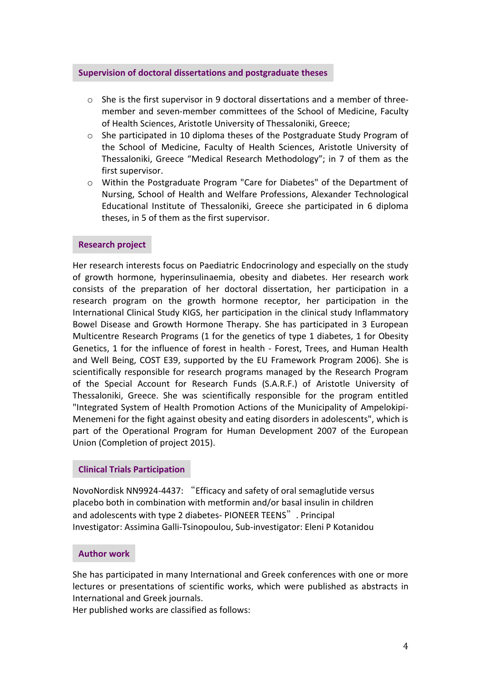### **Supervision of doctoral dissertations and postgraduate theses**

- $\circ$  She is the first supervisor in 9 doctoral dissertations and a member of threemember and seven-member committees of the School of Medicine, Faculty of Health Sciences, Aristotle University of Thessaloniki, Greece;
- o She participated in 10 diploma theses of the Postgraduate Study Program of the School of Medicine, Faculty of Health Sciences, Aristotle University of Thessaloniki, Greece "Medical Research Methodology"; in 7 of them as the first supervisor.
- o Within the Postgraduate Program "Care for Diabetes" of the Department of Nursing, School of Health and Welfare Professions, Alexander Technological Educational Institute of Thessaloniki, Greece she participated in 6 diploma theses, in 5 of them as the first supervisor.

### **Research project**

Her research interests focus on Paediatric Endocrinology and especially on the study of growth hormone, hyperinsulinaemia, obesity and diabetes. Her research work consists of the preparation of her doctoral dissertation, her participation in a research program on the growth hormone receptor, her participation in the International Clinical Study KIGS, her participation in the clinical study Inflammatory Bowel Disease and Growth Hormone Therapy. She has participated in 3 European Multicentre Research Programs (1 for the genetics of type 1 diabetes, 1 for Obesity Genetics, 1 for the influence of forest in health - Forest, Trees, and Human Health and Well Being, COST E39, supported by the EU Framework Program 2006). She is scientifically responsible for research programs managed by the Research Program of the Special Account for Research Funds (S.A.R.F.) of Aristotle University of Thessaloniki, Greece. She was scientifically responsible for the program entitled "Integrated System of Health Promotion Actions of the Municipality of Ampelokipi-Menemeni for the fight against obesity and eating disorders in adolescents", which is part of the Operational Program for Human Development 2007 of the European Union (Completion of project 2015).

# **Clinical Trials Participation**

NovoNordisk NN9924-4437: "Efficacy and safety of oral semaglutide versus placebo both in combination with metformin and/or basal insulin in children and adolescents with type 2 diabetes- PIONEER TEENS". Principal Investigator: Assimina Galli-Tsinopoulou, Sub-investigator: Eleni P Kotanidou

### **Author work**

She has participated in many International and Greek conferences with one or more lectures or presentations of scientific works, which were published as abstracts in International and Greek journals.

Her published works are classified as follows: